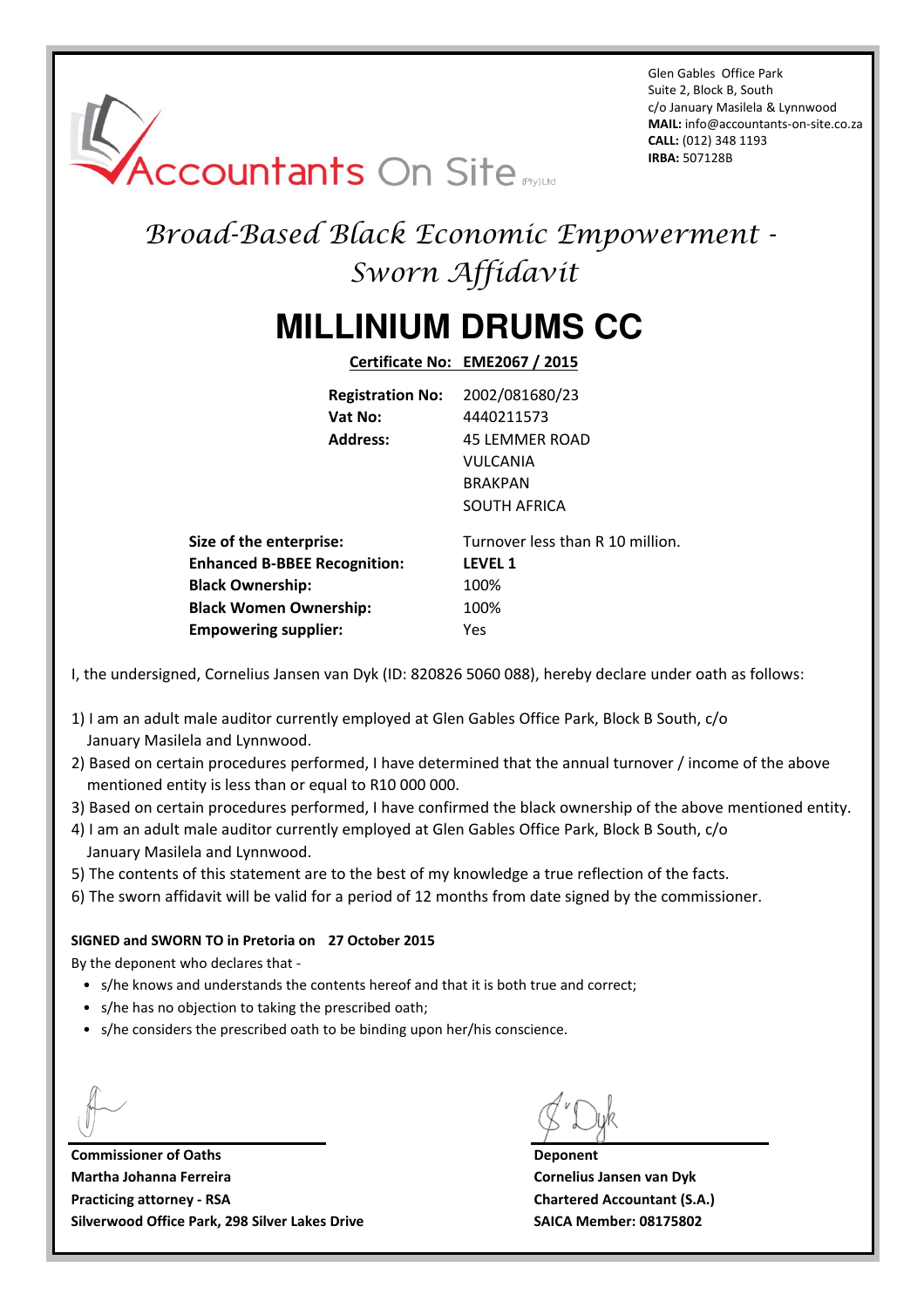Glen Gables Office Park Suite 2, Block B, South c/o January Masilela & Lynnwood **MAIL:** info@accountants-on-site.co.za **CALL:** (012) 348 1193 **IRBA:** 507128B

# **Accountants On Site**

## Broad-Based Black Economic Empowerment - Sworn Affidavit

## **MILLINIUM DRUMS CC**

**Certificate No: EME2067 / 2015**

|                                     | <b>Registration No:</b> | 2002/081680/23                   |
|-------------------------------------|-------------------------|----------------------------------|
|                                     | Vat No:                 | 4440211573                       |
|                                     | <b>Address:</b>         | <b>45 LEMMER ROAD</b>            |
|                                     |                         | <b>VULCANIA</b>                  |
|                                     |                         | <b>BRAKPAN</b>                   |
|                                     |                         | <b>SOUTH AFRICA</b>              |
| Size of the enterprise:             |                         | Turnover less than R 10 million. |
| <b>Enhanced B-BBEE Recognition:</b> |                         | <b>LEVEL 1</b>                   |
| <b>Black Ownership:</b>             |                         | 100%                             |
| <b>Black Women Ownership:</b>       |                         | 100%                             |
| <b>Empowering supplier:</b>         |                         | Yes                              |

I, the undersigned, Cornelius Jansen van Dyk (ID: 820826 5060 088), hereby declare under oath as follows:

- 1) I am an adult male auditor currently employed at Glen Gables Office Park, Block B South, c/o January Masilela and Lynnwood.
- 2) Based on certain procedures performed, I have determined that the annual turnover / income of the above mentioned entity is less than or equal to R10 000 000.
- 3) Based on certain procedures performed, I have confirmed the black ownership of the above mentioned entity.
- 4) I am an adult male auditor currently employed at Glen Gables Office Park, Block B South, c/o January Masilela and Lynnwood.
- 5) The contents of this statement are to the best of my knowledge a true reflection of the facts.
- 6) The sworn affidavit will be valid for a period of 12 months from date signed by the commissioner.

#### **SIGNED and SWORN TO in Pretoria on 27 October 2015**

By the deponent who declares that -

- s/he knows and understands the contents hereof and that it is both true and correct;
- s/he has no objection to taking the prescribed oath;
- s/he considers the prescribed oath to be binding upon her/his conscience.

**Commissioner of Oaths Deponent Martha Johanna Ferreira Cornelius Jansen van Dyk Practicing attorney - RSA Chartered Accountant (S.A.) Silverwood Office Park, 298 Silver Lakes Drive SAICA Member: 08175802**